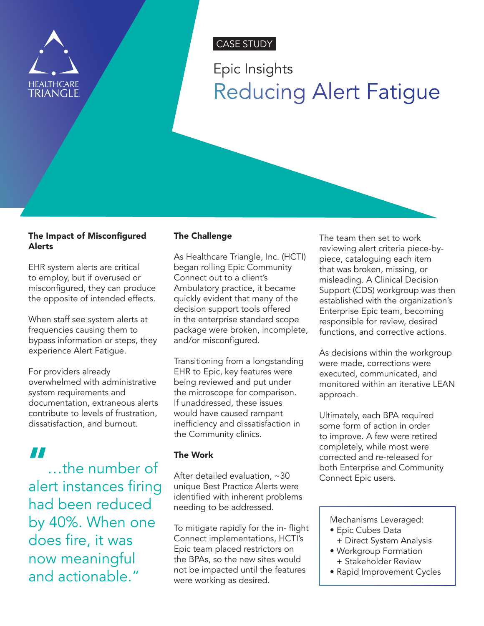

# CASE STUDY

# Epic Insights Reducing Alert Fatigue

## The Impact of Misconfigured Alerts

EHR system alerts are critical to employ, but if overused or misconfigured, they can produce the opposite of intended effects.

When staff see system alerts at frequencies causing them to bypass information or steps, they experience Alert Fatigue.

For providers already overwhelmed with administrative system requirements and documentation, extraneous alerts contribute to levels of frustration, dissatisfaction, and burnout.

# "

…the number of alert instances firing had been reduced by 40%. When one does fire, it was now meaningful and actionable."

# The Challenge

As Healthcare Triangle, Inc. (HCTI) began rolling Epic Community Connect out to a client's Ambulatory practice, it became quickly evident that many of the decision support tools offered in the enterprise standard scope package were broken, incomplete, and/or misconfigured.

Transitioning from a longstanding EHR to Epic, key features were being reviewed and put under the microscope for comparison. If unaddressed, these issues would have caused rampant inefficiency and dissatisfaction in the Community clinics.

# The Work

After detailed evaluation, ~30 unique Best Practice Alerts were identified with inherent problems needing to be addressed.

To mitigate rapidly for the in- flight Connect implementations, HCTI's Epic team placed restrictors on the BPAs, so the new sites would not be impacted until the features were working as desired.

The team then set to work reviewing alert criteria piece-bypiece, cataloguing each item that was broken, missing, or misleading. A Clinical Decision Support (CDS) workgroup was then established with the organization's Enterprise Epic team, becoming responsible for review, desired functions, and corrective actions.

As decisions within the workgroup were made, corrections were executed, communicated, and monitored within an iterative LEAN approach.

Ultimately, each BPA required some form of action in order to improve. A few were retired completely, while most were corrected and re-released for both Enterprise and Community Connect Epic users.

Mechanisms Leveraged:

- Epic Cubes Data + Direct System Analysis
- Workgroup Formation + Stakeholder Review
- Rapid Improvement Cycles